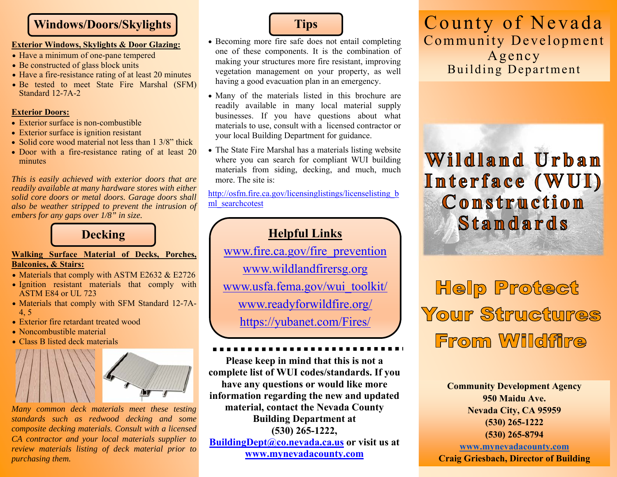### **Windows/Doors/Skylights**

#### **Exterior Windows, Skylights & Door Glazing:**

- Have a minimum of one-pane tempered
- Be constructed of glass block units
- Have a fire-resistance rating of at least 20 minutes
- Be tested to meet State Fire Marshal (SFM) Standard 12-7A-2

### **Exterior Doors:**

- Exterior surface is non-combustible
- Exterior surface is ignition resistant
- Solid core wood material not less than  $1 \frac{3}{8}$  thick
- Door with a fire-resistance rating of at least 20 minutes

*This is easily achieved with exterior doors that are readily available at many hardware stores with either solid core doors or metal doors. Garage doors shall also be weather stripped to prevent the intrusion of embers for any gaps over 1/8" in size.* 

### **Decking**

### **Walking Surface Material of Decks, Porches, Balconies, & Stairs:**

- Materials that comply with ASTM E2632  $&$  E2726
- Ignition resistant materials that comply with ASTM E84 or UL 723
- Materials that comply with SFM Standard 12-7A-4, 5
- Exterior fire retardant treated wood
- Noncombustible material
- Class B listed deck materials



*Many common deck materials meet these testing standards such as redwood decking and some composite decking materials. Consult with a licensed CA contractor and your local materials supplier to review materials listing of deck material prior to purchasing them.* 



- Becoming more fire safe does not entail completing one of these components. It is the combination of making your structures more fire resistant, improving vegetation management on your property, as well having a good evacuation plan in an emergency.
- Many of the materials listed in this brochure are readily available in many local material supply businesses. If you have questions about what materials to use, consult with a licensed contractor or your local Building Department for guidance.
- The State Fire Marshal has a materials listing website where you can search for compliant WUI building materials from siding, decking, and much, much more. The site is:

http://osfm.fire.ca.gov/licensinglistings/licenselisting b ml\_searchcotest

# **Helpful Links**

www.fire.ca.gov/fire\_prevention www.wildlandfirersg.org www.usfa.fema.gov/wui\_toolkit/ www.readyforwildfire.org/

https://yubanet.com/Fires/

**Please keep in mind that this is not a complete list of WUI codes/standards. If you have any questions or would like more information regarding the new and updated material, contact the Nevada County Building Department at (530) 265-1222, BuildingDept@co.nevada.ca.us or visit us at www.mynevadacounty.com**

County of Nevada Community Development Agency Building Department

# Wildland Urban Interface (WUI) Construction Standards

**Help Protect** Your Structures From Wildfire

> **Community Development Agency 950 Maidu Ave. Nevada City, CA 95959 (530) 265-1222 (530) 265-8794**

**www.mynevadacounty.com Craig Griesbach, Director of Building**